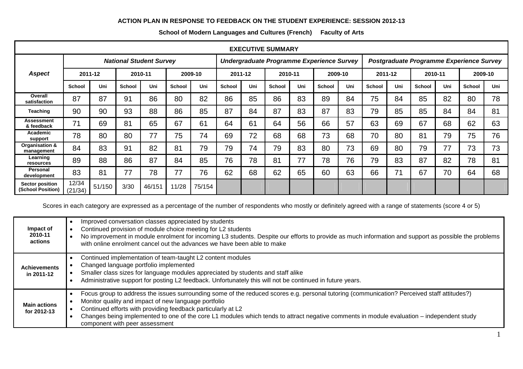## **ACTION PLAN IN RESPONSE TO FEEDBACK ON THE STUDENT EXPERIENCE: SESSION 2012-13**

| <b>EXECUTIVE SUMMARY</b>                    |                                |        |               |        |               |                                           |         |     |               |     |                                          |     |               |     |               |     |               |     |
|---------------------------------------------|--------------------------------|--------|---------------|--------|---------------|-------------------------------------------|---------|-----|---------------|-----|------------------------------------------|-----|---------------|-----|---------------|-----|---------------|-----|
|                                             | <b>National Student Survey</b> |        |               |        |               | Undergraduate Programme Experience Survey |         |     |               |     | Postgraduate Programme Experience Survey |     |               |     |               |     |               |     |
| <b>Aspect</b>                               | 2011-12                        |        | 2010-11       |        | 2009-10       |                                           | 2011-12 |     | 2010-11       |     | 2009-10                                  |     | 2011-12       |     | 2010-11       |     | 2009-10       |     |
|                                             | <b>School</b>                  | Uni    | <b>School</b> | Uni    | <b>School</b> | Uni                                       | School  | Uni | <b>School</b> | Uni | <b>School</b>                            | Uni | <b>School</b> | Uni | <b>School</b> | Uni | <b>School</b> | Uni |
| Overall<br>satisfaction                     | 87                             | 87     | 91            | 86     | 80            | 82                                        | 86      | 85  | 86            | 83  | 89                                       | 84  | 75            | 84  | 85            | 82  | 80            | 78  |
| <b>Teaching</b>                             | 90                             | 90     | 93            | 88     | 86            | 85                                        | 87      | 84  | 87            | 83  | 87                                       | 83  | 79            | 85  | 85            | 84  | 84            | 81  |
| <b>Assessment</b><br>& feedback             | 71                             | 69     | 81            | 65     | 67            | 61                                        | 64      | 61  | 64            | 56  | 66                                       | 57  | 63            | 69  | 67            | 68  | 62            | 63  |
| Academic<br>support                         | 78                             | 80     | 80            | 77     | 75            | 74                                        | 69      | 72  | 68            | 68  | 73                                       | 68  | 70            | 80  | 81            | 79  | 75            | 76  |
| Organisation &<br>management                | 84                             | 83     | 91            | 82     | 81            | 79                                        | 79      | 74  | 79            | 83  | 80                                       | 73  | 69            | 80  | 79            | 77  | 73            | 73  |
| Learning<br>resources                       | 89                             | 88     | 86            | 87     | 84            | 85                                        | 76      | 78  | 81            | 77  | 78                                       | 76  | 79            | 83  | 87            | 82  | 78            | 81  |
| <b>Personal</b><br>development              | 83                             | 81     | 77            | 78     | 77            | 76                                        | 62      | 68  | 62            | 65  | 60                                       | 63  | 66            | 71  | 67            | 70  | 64            | 68  |
| <b>Sector position</b><br>(School Position) | 12/34<br>(21/34)               | 51/150 | 3/30          | 46/151 | 11/28         | 75/154                                    |         |     |               |     |                                          |     |               |     |               |     |               |     |

## **School of Modern Languages and Cultures (French) Faculty of Arts**

Scores in each category are expressed as a percentage of the number of respondents who mostly or definitely agreed with a range of statements (score 4 or 5)

| Impact of<br>2010-11<br>actions    | Improved conversation classes appreciated by students<br>Continued provision of module choice meeting for L2 students<br>No improvement in module enrolment for incoming L3 students. Despite our efforts to provide as much information and support as possible the problems<br>with online enrolment cancel out the advances we have been able to make                                                                                           |
|------------------------------------|----------------------------------------------------------------------------------------------------------------------------------------------------------------------------------------------------------------------------------------------------------------------------------------------------------------------------------------------------------------------------------------------------------------------------------------------------|
| <b>Achievements</b><br>in 2011-12  | Continued implementation of team-taught L2 content modules<br>Changed language portfolio implemented<br>Smaller class sizes for language modules appreciated by students and staff alike<br>Administrative support for posting L2 feedback. Unfortunately this will not be continued in future years.                                                                                                                                              |
| <b>Main actions</b><br>for 2012-13 | Focus group to address the issues surrounding some of the reduced scores e.g. personal tutoring (communication? Perceived staff attitudes?)<br>Monitor quality and impact of new language portfolio<br>Continued efforts with providing feedback particularly at L2<br>Changes being implemented to one of the core L1 modules which tends to attract negative comments in module evaluation – independent study<br>component with peer assessment |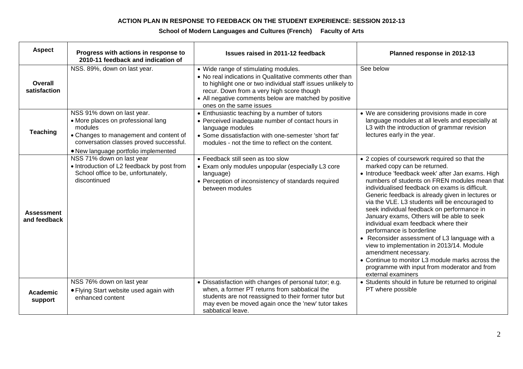## **ACTION PLAN IN RESPONSE TO FEEDBACK ON THE STUDENT EXPERIENCE: SESSION 2012-13**

## **School of Modern Languages and Cultures (French) Faculty of Arts**

| <b>Aspect</b>                     | Progress with actions in response to<br>2010-11 feedback and indication of                                                                                                                               | Issues raised in 2011-12 feedback                                                                                                                                                                                                                                                                | Planned response in 2012-13                                                                                                                                                                                                                                                                                                                                                                                                                                                                                                                                                                                                                                                                                                                                  |
|-----------------------------------|----------------------------------------------------------------------------------------------------------------------------------------------------------------------------------------------------------|--------------------------------------------------------------------------------------------------------------------------------------------------------------------------------------------------------------------------------------------------------------------------------------------------|--------------------------------------------------------------------------------------------------------------------------------------------------------------------------------------------------------------------------------------------------------------------------------------------------------------------------------------------------------------------------------------------------------------------------------------------------------------------------------------------------------------------------------------------------------------------------------------------------------------------------------------------------------------------------------------------------------------------------------------------------------------|
| Overall<br>satisfaction           | NSS. 89%, down on last year.                                                                                                                                                                             | • Wide range of stimulating modules.<br>• No real indications in Qualitative comments other than<br>to highlight one or two individual staff issues unlikely to<br>recur. Down from a very high score though<br>• All negative comments below are matched by positive<br>ones on the same issues | See below                                                                                                                                                                                                                                                                                                                                                                                                                                                                                                                                                                                                                                                                                                                                                    |
| <b>Teaching</b>                   | NSS 91% down on last year.<br>• More places on professional lang<br>modules<br>• Changes to management and content of<br>conversation classes proved successful.<br>• New language portfolio implemented | • Enthusiastic teaching by a number of tutors<br>• Perceived inadequate number of contact hours in<br>language modules<br>• Some dissatisfaction with one-semester 'short fat'<br>modules - not the time to reflect on the content.                                                              | • We are considering provisions made in core<br>language modules at all levels and especially at<br>L3 with the introduction of grammar revision<br>lectures early in the year.                                                                                                                                                                                                                                                                                                                                                                                                                                                                                                                                                                              |
| <b>Assessment</b><br>and feedback | NSS 71% down on last year<br>• Introduction of L2 feedback by post from<br>School office to be, unfortunately,<br>discontinued                                                                           | • Feedback still seen as too slow<br>• Exam only modules unpopular (especially L3 core<br>language)<br>• Perception of inconsistency of standards required<br>between modules                                                                                                                    | • 2 copies of coursework required so that the<br>marked copy can be returned.<br>• Introduce 'feedback week' after Jan exams. High<br>numbers of students on FREN modules mean that<br>individualised feedback on exams is difficult.<br>Generic feedback is already given in lectures or<br>via the VLE. L3 students will be encouraged to<br>seek individual feedback on performance in<br>January exams, Others will be able to seek<br>individual exam feedback where their<br>performance is borderline<br>• Reconsider assessment of L3 language with a<br>view to implementation in 2013/14. Module<br>amendment necessary.<br>• Continue to monitor L3 module marks across the<br>programme with input from moderator and from<br>external examiners |
| <b>Academic</b><br>support        | NSS 76% down on last year<br>• Flying Start website used again with<br>enhanced content                                                                                                                  | • Dissatisfaction with changes of personal tutor; e.g.<br>when, a former PT returns from sabbatical the<br>students are not reassigned to their former tutor but<br>may even be moved again once the 'new' tutor takes<br>sabbatical leave.                                                      | • Students should in future be returned to original<br>PT where possible                                                                                                                                                                                                                                                                                                                                                                                                                                                                                                                                                                                                                                                                                     |